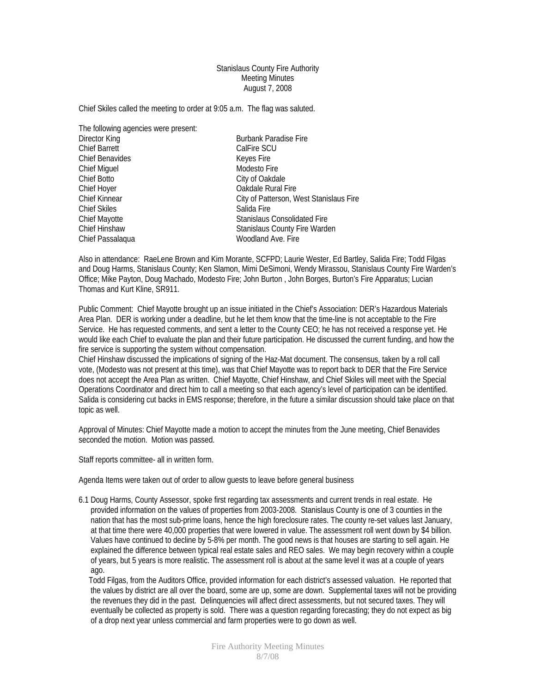## Stanislaus County Fire Authority Meeting Minutes August 7, 2008

Chief Skiles called the meeting to order at 9:05 a.m. The flag was saluted.

The following agencies were present:

| Director King          | <b>Burbank Paradise Fire</b>            |
|------------------------|-----------------------------------------|
| <b>Chief Barrett</b>   | CalFire SCU                             |
| <b>Chief Benavides</b> | Keyes Fire                              |
| <b>Chief Miguel</b>    | Modesto Fire                            |
| Chief Botto            | City of Oakdale                         |
| Chief Hoyer            | Oakdale Rural Fire                      |
| <b>Chief Kinnear</b>   | City of Patterson, West Stanislaus Fire |
| <b>Chief Skiles</b>    | Salida Fire                             |
| Chief Mayotte          | <b>Stanislaus Consolidated Fire</b>     |
| <b>Chief Hinshaw</b>   | Stanislaus County Fire Warden           |
| Chief Passalaqua       | Woodland Ave. Fire                      |
|                        |                                         |

Also in attendance: RaeLene Brown and Kim Morante, SCFPD; Laurie Wester, Ed Bartley, Salida Fire; Todd Filgas and Doug Harms, Stanislaus County; Ken Slamon, Mimi DeSimoni, Wendy Mirassou, Stanislaus County Fire Warden's Office; Mike Payton, Doug Machado, Modesto Fire; John Burton , John Borges, Burton's Fire Apparatus; Lucian Thomas and Kurt Kline, SR911.

Public Comment: Chief Mayotte brought up an issue initiated in the Chief's Association: DER's Hazardous Materials Area Plan. DER is working under a deadline, but he let them know that the time-line is not acceptable to the Fire Service. He has requested comments, and sent a letter to the County CEO; he has not received a response yet. He would like each Chief to evaluate the plan and their future participation. He discussed the current funding, and how the fire service is supporting the system without compensation.

Chief Hinshaw discussed the implications of signing of the Haz-Mat document. The consensus, taken by a roll call vote, (Modesto was not present at this time), was that Chief Mayotte was to report back to DER that the Fire Service does not accept the Area Plan as written. Chief Mayotte, Chief Hinshaw, and Chief Skiles will meet with the Special Operations Coordinator and direct him to call a meeting so that each agency's level of participation can be identified. Salida is considering cut backs in EMS response; therefore, in the future a similar discussion should take place on that topic as well.

Approval of Minutes: Chief Mayotte made a motion to accept the minutes from the June meeting, Chief Benavides seconded the motion. Motion was passed.

Staff reports committee- all in written form.

Agenda Items were taken out of order to allow guests to leave before general business

6.1 Doug Harms, County Assessor, spoke first regarding tax assessments and current trends in real estate. He provided information on the values of properties from 2003-2008. Stanislaus County is one of 3 counties in the nation that has the most sub-prime loans, hence the high foreclosure rates. The county re-set values last January, at that time there were 40,000 properties that were lowered in value. The assessment roll went down by \$4 billion. Values have continued to decline by 5-8% per month. The good news is that houses are starting to sell again. He explained the difference between typical real estate sales and REO sales. We may begin recovery within a couple of years, but 5 years is more realistic. The assessment roll is about at the same level it was at a couple of years ago.

 Todd Filgas, from the Auditors Office, provided information for each district's assessed valuation. He reported that the values by district are all over the board, some are up, some are down. Supplemental taxes will not be providing the revenues they did in the past. Delinquencies will affect direct assessments, but not secured taxes. They will eventually be collected as property is sold. There was a question regarding forecasting; they do not expect as big of a drop next year unless commercial and farm properties were to go down as well.